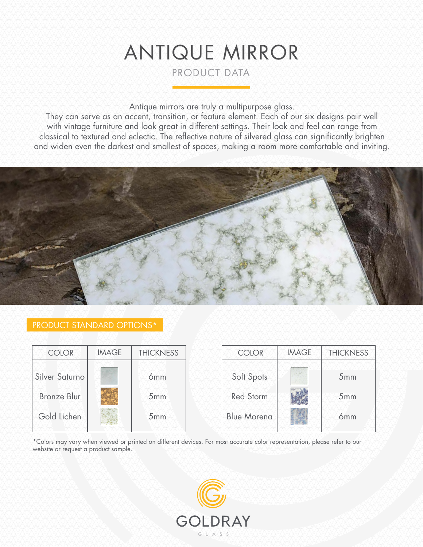# ANTIQUE MIRROR

PRODUCT DATA

Antique mirrors are truly a multipurpose glass.

They can serve as an accent, transition, or feature element. Each of our six designs pair well with vintage furniture and look great in different settings. Their look and feel can range from classical to textured and eclectic. The reflective nature of silvered glass can significantly brighten and widen even the darkest and smallest of spaces, making a room more comfortable and inviting.



# PRODUCT STANDARD OPTIONS\*

| <b>COLOR</b>       | <b>IMAGE</b> | <b>THICKNESS</b> | <b>COLOR</b>       | <b>IMAGE</b> | <b>THICKNESS</b> |
|--------------------|--------------|------------------|--------------------|--------------|------------------|
| Silver Saturno     |              | 6 <sub>mm</sub>  | Soft Spots         |              | 5mm              |
| <b>Bronze Blur</b> |              | 5mm              | <b>Red Storm</b>   |              | 5mm              |
| Gold Lichen        |              | 5mm              | <b>Blue Morena</b> |              | 6 <sub>mm</sub>  |

\*Colors may vary when viewed or printed on different devices. For most accurate color representation, please refer to our website or request a product sample.